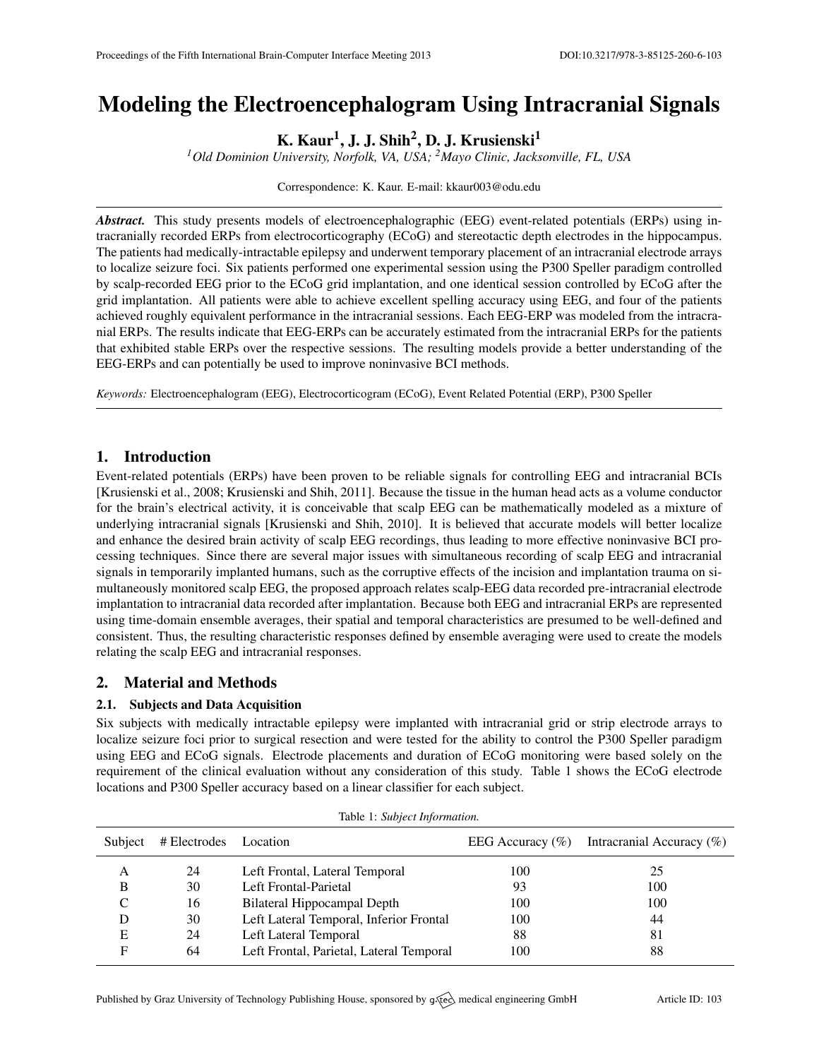# Modeling the Electroencephalogram Using Intracranial Signals

K. Kaur $^1$ , J. J. Shih $^2$ , D. J. Krusienski $^1$ 

*<sup>1</sup>Old Dominion University, Norfolk, VA, USA; <sup>2</sup>Mayo Clinic, Jacksonville, FL, USA*

Correspondence: K. Kaur. E-mail: [kkaur003@odu.edu](mailto:kkaur003@odu.edu)

*Abstract.* This study presents models of electroencephalographic (EEG) event-related potentials (ERPs) using intracranially recorded ERPs from electrocorticography (ECoG) and stereotactic depth electrodes in the hippocampus. The patients had medically-intractable epilepsy and underwent temporary placement of an intracranial electrode arrays to localize seizure foci. Six patients performed one experimental session using the P300 Speller paradigm controlled by scalp-recorded EEG prior to the ECoG grid implantation, and one identical session controlled by ECoG after the grid implantation. All patients were able to achieve excellent spelling accuracy using EEG, and four of the patients achieved roughly equivalent performance in the intracranial sessions. Each EEG-ERP was modeled from the intracranial ERPs. The results indicate that EEG-ERPs can be accurately estimated from the intracranial ERPs for the patients that exhibited stable ERPs over the respective sessions. The resulting models provide a better understanding of the EEG-ERPs and can potentially be used to improve noninvasive BCI methods.

*Keywords:* Electroencephalogram (EEG), Electrocorticogram (ECoG), Event Related Potential (ERP), P300 Speller

# 1. Introduction

Event-related potentials (ERPs) have been proven to be reliable signals for controlling EEG and intracranial BCIs [\[Krusienski et al.,](#page-1-0) [2008;](#page-1-0) [Krusienski and Shih,](#page-1-1) [2011\]](#page-1-1). Because the tissue in the human head acts as a volume conductor for the brain's electrical activity, it is conceivable that scalp EEG can be mathematically modeled as a mixture of underlying intracranial signals [\[Krusienski and Shih,](#page-1-2) [2010\]](#page-1-2). It is believed that accurate models will better localize and enhance the desired brain activity of scalp EEG recordings, thus leading to more effective noninvasive BCI processing techniques. Since there are several major issues with simultaneous recording of scalp EEG and intracranial signals in temporarily implanted humans, such as the corruptive effects of the incision and implantation trauma on simultaneously monitored scalp EEG, the proposed approach relates scalp-EEG data recorded pre-intracranial electrode implantation to intracranial data recorded after implantation. Because both EEG and intracranial ERPs are represented using time-domain ensemble averages, their spatial and temporal characteristics are presumed to be well-defined and consistent. Thus, the resulting characteristic responses defined by ensemble averaging were used to create the models relating the scalp EEG and intracranial responses.

# 2. Material and Methods

## 2.1. Subjects and Data Acquisition

Six subjects with medically intractable epilepsy were implanted with intracranial grid or strip electrode arrays to localize seizure foci prior to surgical resection and were tested for the ability to control the P300 Speller paradigm using EEG and ECoG signals. Electrode placements and duration of ECoG monitoring were based solely on the requirement of the clinical evaluation without any consideration of this study. Table 1 shows the ECoG electrode locations and P300 Speller accuracy based on a linear classifier for each subject.

| Subject | # Electrodes Location |                                          | EEG Accuracy $(\% )$ | Intracranial Accuracy $(\%)$ |
|---------|-----------------------|------------------------------------------|----------------------|------------------------------|
| A       | 24                    | Left Frontal, Lateral Temporal           | 100                  | 25                           |
| B       | 30                    | Left Frontal-Parietal                    | 93                   | 100                          |
| C       | 16                    | Bilateral Hippocampal Depth              | 100                  | 100                          |
|         | 30                    | Left Lateral Temporal, Inferior Frontal  | 100                  | 44                           |
| E       | 24                    | Left Lateral Temporal                    | 88                   | 81                           |
| F       | 64                    | Left Frontal, Parietal, Lateral Temporal | 100                  | 88                           |
|         |                       |                                          |                      |                              |

Table 1: *Subject Information.*